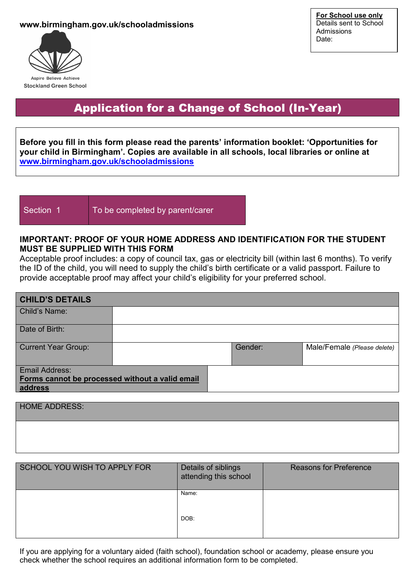### **www.birmingham.gov.uk/schooladmissions**



## Application for a Change of School (In-Year)

**Before you fill in this form please read the parents' information booklet: 'Opportunities for your child in Birmingham'. Copies are available in all schools, local libraries or online at [www.birmingham.gov.uk/schooladmissions](http://www.birmingham.gov.uk/schooladmissions)**

Section 1 To be completed by parent/carer

## **IMPORTANT: PROOF OF YOUR HOME ADDRESS AND IDENTIFICATION FOR THE STUDENT MUST BE SUPPLIED WITH THIS FORM**

Acceptable proof includes: a copy of council tax, gas or electricity bill (within last 6 months). To verify the ID of the child, you will need to supply the child's birth certificate or a valid passport. Failure to provide acceptable proof may affect your child's eligibility for your preferred school.

| <b>CHILD'S DETAILS</b>                                                       |  |         |                             |
|------------------------------------------------------------------------------|--|---------|-----------------------------|
| Child's Name:                                                                |  |         |                             |
| Date of Birth:                                                               |  |         |                             |
| <b>Current Year Group:</b>                                                   |  | Gender: | Male/Female (Please delete) |
| Email Address:<br>Forms cannot be processed without a valid email<br>address |  |         |                             |

HOME ADDRESS:

| SCHOOL YOU WISH TO APPLY FOR | Details of siblings<br>attending this school | <b>Reasons for Preference</b> |
|------------------------------|----------------------------------------------|-------------------------------|
|                              | Name:<br>DOB:                                |                               |

If you are applying for a voluntary aided (faith school), foundation school or academy, please ensure you check whether the school requires an additional information form to be completed.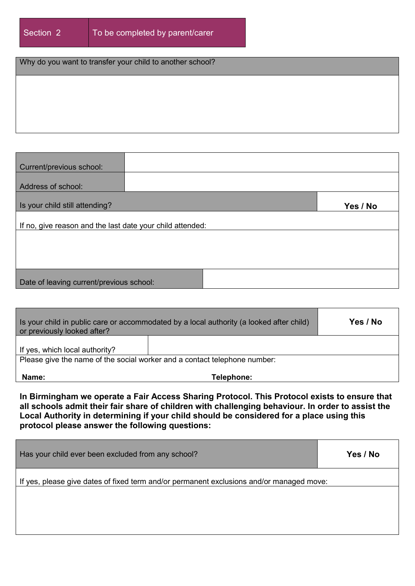## Why do you want to transfer your child to another school?

| Current/previous school:                                  |  |          |
|-----------------------------------------------------------|--|----------|
| Address of school:                                        |  |          |
| Is your child still attending?                            |  | Yes / No |
| If no, give reason and the last date your child attended: |  |          |
|                                                           |  |          |
|                                                           |  |          |
| Date of leaving current/previous school:                  |  |          |

| Is your child in public care or accommodated by a local authority (a looked after child)<br>or previously looked after? |            | Yes / No |  |
|-------------------------------------------------------------------------------------------------------------------------|------------|----------|--|
| If yes, which local authority?                                                                                          |            |          |  |
| Please give the name of the social worker and a contact telephone number:                                               |            |          |  |
| Name:                                                                                                                   | Telephone: |          |  |

**In Birmingham we operate a Fair Access Sharing Protocol. This Protocol exists to ensure that all schools admit their fair share of children with challenging behaviour. In order to assist the Local Authority in determining if your child should be considered for a place using this protocol please answer the following questions:**

| Has your child ever been excluded from any school?                                       | Yes / No |
|------------------------------------------------------------------------------------------|----------|
| If yes, please give dates of fixed term and/or permanent exclusions and/or managed move: |          |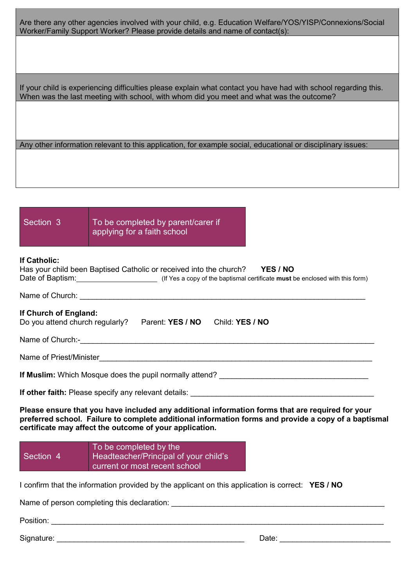Are there any other agencies involved with your child, e.g. Education Welfare/YOS/YISP/Connexions/Social Worker/Family Support Worker? Please provide details and name of contact(s):

If your child is experiencing difficulties please explain what contact you have had with school regarding this. When was the last meeting with school, with whom did you meet and what was the outcome?

Any other information relevant to this application, for example social, educational or disciplinary issues:

# Section 3 To be completed by parent/carer if applying for a faith school **If Catholic:** Has your child been Baptised Catholic or received into the church? **YES / NO** Date of Baptism: (If Yes a copy of the baptismal certificate **must** be enclosed with this form) Name of Church: **If Church of England:**  Do you attend church regularly? Parent: **YES / NO** Child: **YES / NO** Name of Church:-Name of Priest/Minister\_\_\_\_\_\_\_\_\_\_\_\_\_\_\_\_\_\_\_\_\_\_\_\_\_\_\_\_\_\_\_\_\_\_\_\_\_\_\_\_\_\_\_\_\_\_\_\_\_\_\_\_\_\_\_\_\_\_\_\_\_\_\_\_ **If Muslim:** Which Mosque does the pupil normally attend? \_\_\_\_\_\_\_\_\_\_\_\_\_\_\_\_\_\_\_\_\_\_\_\_ **If other faith:** Please specify any relevant details: **Please ensure that you have included any additional information forms that are required for your preferred school. Failure to complete additional information forms and provide a copy of a baptismal certificate may affect the outcome of your application.** Section 4 To be completed by the Headteacher/Principal of your child's current or most recent school

I confirm that the information provided by the applicant on this application is correct: **YES / NO**

Name of person completing this declaration: \_\_\_\_\_\_\_\_\_\_\_\_\_\_\_\_\_\_\_\_\_\_\_\_\_\_\_\_\_\_\_\_\_\_\_\_\_\_\_\_\_\_\_\_\_\_\_\_\_\_

Position: \_\_\_\_\_\_\_\_\_\_\_\_\_\_\_\_\_\_\_\_\_\_\_\_\_\_\_\_\_\_\_\_\_\_\_\_\_\_\_\_\_\_\_\_\_\_\_\_\_\_\_\_\_\_\_\_\_\_\_\_\_\_\_\_\_\_\_\_\_\_\_\_\_\_\_\_\_\_

Signature: \_\_\_\_\_\_\_\_\_\_\_\_\_\_\_\_\_\_\_\_\_\_\_\_\_\_\_\_\_\_\_\_\_\_\_\_\_\_\_\_\_\_\_\_ Date: \_\_\_\_\_\_\_\_\_\_\_\_\_\_\_\_\_\_\_\_\_\_\_\_\_\_